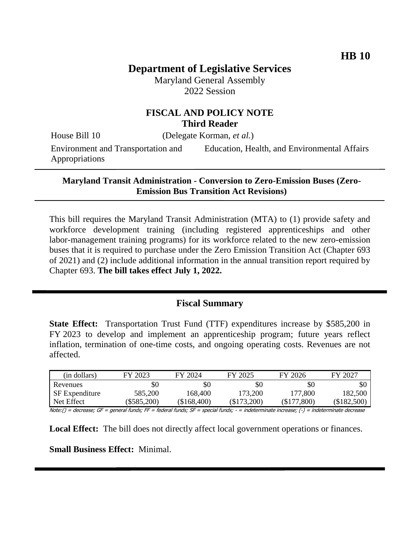# **Department of Legislative Services**

Maryland General Assembly 2022 Session

# **FISCAL AND POLICY NOTE Third Reader**

House Bill 10 (Delegate Korman, *et al.*)

Environment and Transportation and Appropriations

Education, Health, and Environmental Affairs

#### **Maryland Transit Administration - Conversion to Zero-Emission Buses (Zero-Emission Bus Transition Act Revisions)**

This bill requires the Maryland Transit Administration (MTA) to (1) provide safety and workforce development training (including registered apprenticeships and other labor-management training programs) for its workforce related to the new zero-emission buses that it is required to purchase under the Zero Emission Transition Act (Chapter 693 of 2021) and (2) include additional information in the annual transition report required by Chapter 693. **The bill takes effect July 1, 2022.** 

#### **Fiscal Summary**

**State Effect:** Transportation Trust Fund (TTF) expenditures increase by \$585,200 in FY 2023 to develop and implement an apprenticeship program; future years reflect inflation, termination of one-time costs, and ongoing operating costs. Revenues are not affected.

| (in dollars)          | FY 2023     | FY 2024     | FY 2025       | FY 2026         | FY 2027       |
|-----------------------|-------------|-------------|---------------|-----------------|---------------|
| Revenues              | \$0         | \$0         | \$0           | \$0             | \$0           |
| <b>SF</b> Expenditure | 585,200     | 168.400     | 173,200       | 177,800         | 182,500       |
| Net Effect            | (\$585,200) | (\$168,400) | $(\$173,200)$ | 0.800<br>\$177, | $(\$182,500)$ |

Note:() = decrease; GF = general funds; FF = federal funds; SF = special funds; - = indeterminate increase; (-) = indeterminate decrease

**Local Effect:** The bill does not directly affect local government operations or finances.

**Small Business Effect:** Minimal.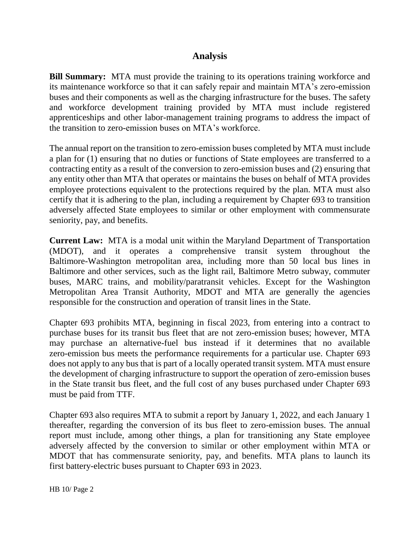# **Analysis**

**Bill Summary:** MTA must provide the training to its operations training workforce and its maintenance workforce so that it can safely repair and maintain MTA's zero-emission buses and their components as well as the charging infrastructure for the buses. The safety and workforce development training provided by MTA must include registered apprenticeships and other labor-management training programs to address the impact of the transition to zero-emission buses on MTA's workforce.

The annual report on the transition to zero-emission buses completed by MTA must include a plan for (1) ensuring that no duties or functions of State employees are transferred to a contracting entity as a result of the conversion to zero-emission buses and (2) ensuring that any entity other than MTA that operates or maintains the buses on behalf of MTA provides employee protections equivalent to the protections required by the plan. MTA must also certify that it is adhering to the plan, including a requirement by Chapter 693 to transition adversely affected State employees to similar or other employment with commensurate seniority, pay, and benefits.

**Current Law:** MTA is a modal unit within the Maryland Department of Transportation (MDOT), and it operates a comprehensive transit system throughout the Baltimore-Washington metropolitan area, including more than 50 local bus lines in Baltimore and other services, such as the light rail, Baltimore Metro subway, commuter buses, MARC trains, and mobility/paratransit vehicles. Except for the Washington Metropolitan Area Transit Authority, MDOT and MTA are generally the agencies responsible for the construction and operation of transit lines in the State.

Chapter 693 prohibits MTA, beginning in fiscal 2023, from entering into a contract to purchase buses for its transit bus fleet that are not zero-emission buses; however, MTA may purchase an alternative-fuel bus instead if it determines that no available zero-emission bus meets the performance requirements for a particular use. Chapter 693 does not apply to any bus that is part of a locally operated transit system. MTA must ensure the development of charging infrastructure to support the operation of zero-emission buses in the State transit bus fleet, and the full cost of any buses purchased under Chapter 693 must be paid from TTF.

Chapter 693 also requires MTA to submit a report by January 1, 2022, and each January 1 thereafter, regarding the conversion of its bus fleet to zero-emission buses. The annual report must include, among other things, a plan for transitioning any State employee adversely affected by the conversion to similar or other employment within MTA or MDOT that has commensurate seniority, pay, and benefits. MTA plans to launch its first battery-electric buses pursuant to Chapter 693 in 2023.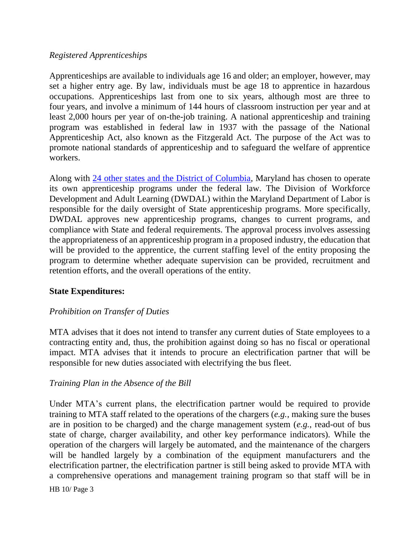#### *Registered Apprenticeships*

Apprenticeships are available to individuals age 16 and older; an employer, however, may set a higher entry age. By law, individuals must be age 18 to apprentice in hazardous occupations. Apprenticeships last from one to six years, although most are three to four years, and involve a minimum of 144 hours of classroom instruction per year and at least 2,000 hours per year of on-the-job training. A national apprenticeship and training program was established in federal law in 1937 with the passage of the National Apprenticeship Act, also known as the Fitzgerald Act. The purpose of the Act was to promote national standards of apprenticeship and to safeguard the welfare of apprentice workers.

Along with [24 other states and the District of Columbia,](https://www.dol.gov/agencies/eta/apprenticeship/contact) Maryland has chosen to operate its own apprenticeship programs under the federal law. The Division of Workforce Development and Adult Learning (DWDAL) within the Maryland Department of Labor is responsible for the daily oversight of State apprenticeship programs. More specifically, DWDAL approves new apprenticeship programs, changes to current programs, and compliance with State and federal requirements. The approval process involves assessing the appropriateness of an apprenticeship program in a proposed industry, the education that will be provided to the apprentice, the current staffing level of the entity proposing the program to determine whether adequate supervision can be provided, recruitment and retention efforts, and the overall operations of the entity.

#### **State Expenditures:**

#### *Prohibition on Transfer of Duties*

MTA advises that it does not intend to transfer any current duties of State employees to a contracting entity and, thus, the prohibition against doing so has no fiscal or operational impact. MTA advises that it intends to procure an electrification partner that will be responsible for new duties associated with electrifying the bus fleet.

#### *Training Plan in the Absence of the Bill*

Under MTA's current plans, the electrification partner would be required to provide training to MTA staff related to the operations of the chargers (*e.g.*, making sure the buses are in position to be charged) and the charge management system (*e.g.*, read-out of bus state of charge, charger availability, and other key performance indicators). While the operation of the chargers will largely be automated, and the maintenance of the chargers will be handled largely by a combination of the equipment manufacturers and the electrification partner, the electrification partner is still being asked to provide MTA with a comprehensive operations and management training program so that staff will be in

HB 10/ Page 3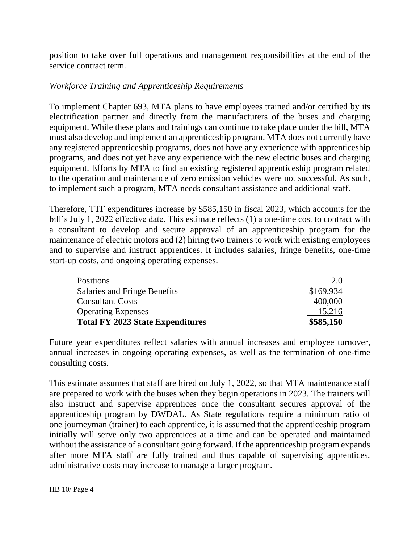position to take over full operations and management responsibilities at the end of the service contract term.

## *Workforce Training and Apprenticeship Requirements*

To implement Chapter 693, MTA plans to have employees trained and/or certified by its electrification partner and directly from the manufacturers of the buses and charging equipment. While these plans and trainings can continue to take place under the bill, MTA must also develop and implement an apprenticeship program. MTA does not currently have any registered apprenticeship programs, does not have any experience with apprenticeship programs, and does not yet have any experience with the new electric buses and charging equipment. Efforts by MTA to find an existing registered apprenticeship program related to the operation and maintenance of zero emission vehicles were not successful. As such, to implement such a program, MTA needs consultant assistance and additional staff.

Therefore, TTF expenditures increase by \$585,150 in fiscal 2023, which accounts for the bill's July 1, 2022 effective date. This estimate reflects (1) a one-time cost to contract with a consultant to develop and secure approval of an apprenticeship program for the maintenance of electric motors and (2) hiring two trainers to work with existing employees and to supervise and instruct apprentices. It includes salaries, fringe benefits, one-time start-up costs, and ongoing operating expenses.

| <b>Positions</b>                        | 2.0       |
|-----------------------------------------|-----------|
| Salaries and Fringe Benefits            | \$169,934 |
| <b>Consultant Costs</b>                 | 400,000   |
| <b>Operating Expenses</b>               | 15,216    |
| <b>Total FY 2023 State Expenditures</b> | \$585,150 |

Future year expenditures reflect salaries with annual increases and employee turnover, annual increases in ongoing operating expenses, as well as the termination of one-time consulting costs.

This estimate assumes that staff are hired on July 1, 2022, so that MTA maintenance staff are prepared to work with the buses when they begin operations in 2023. The trainers will also instruct and supervise apprentices once the consultant secures approval of the apprenticeship program by DWDAL. As State regulations require a minimum ratio of one journeyman (trainer) to each apprentice, it is assumed that the apprenticeship program initially will serve only two apprentices at a time and can be operated and maintained without the assistance of a consultant going forward. If the apprenticeship program expands after more MTA staff are fully trained and thus capable of supervising apprentices, administrative costs may increase to manage a larger program.